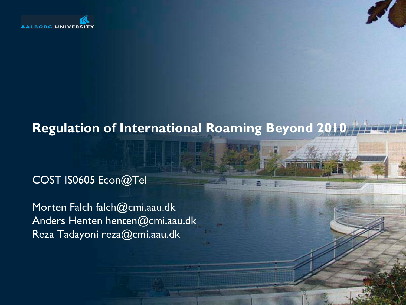

#### **Regulation of International Roaming Beyond 2010**

#### COST IS0605 Econ@Tel

Morten Falch falch@cmi.aau.dk Anders Henten henten@cmi.aau.dk Reza Tadayoni reza@cmi.aau.dk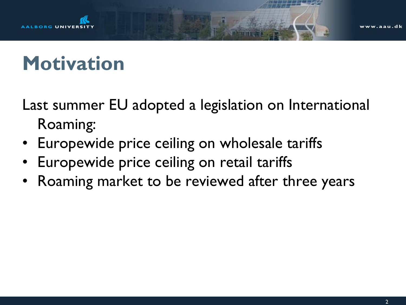

## **Motivation**

Last summer EU adopted a legislation on International Roaming:

- Europewide price ceiling on wholesale tariffs
- Europewide price ceiling on retail tariffs
- Roaming market to be reviewed after three years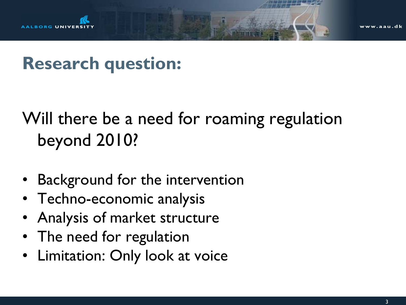

### **Research question:**

### Will there be a need for roaming regulation beyond 2010?

- Background for the intervention
- Techno-economic analysis
- Analysis of market structure
- The need for regulation
- Limitation: Only look at voice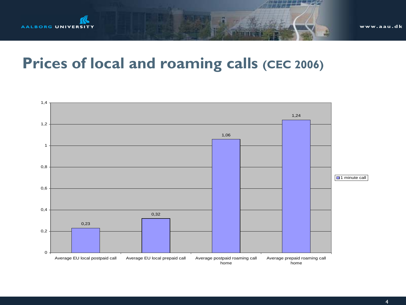

### **Prices of local and roaming calls (CEC 2006)**

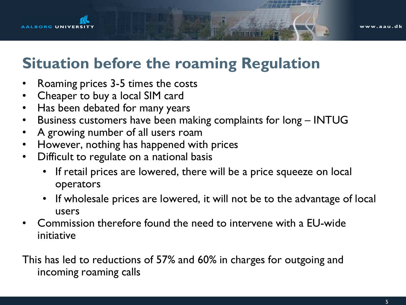

### **Situation before the roaming Regulation**

- Roaming prices 3-5 times the costs
- Cheaper to buy a local SIM card
- Has been debated for many years
- Business customers have been making complaints for long INTUG
- A growing number of all users roam
- However, nothing has happened with prices
- Difficult to regulate on a national basis
	- If retail prices are lowered, there will be a price squeeze on local operators
	- If wholesale prices are lowered, it will not be to the advantage of local users
- Commission therefore found the need to intervene with a EU-wide initiative

This has led to reductions of 57% and 60% in charges for outgoing and incoming roaming calls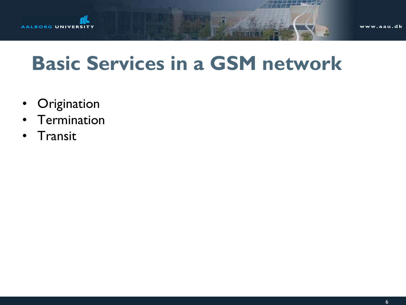

## **Basic Services in a GSM network**

- Origination
- Termination
- Transit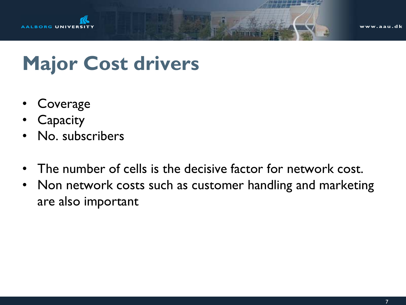

## **Major Cost drivers**

- Coverage
- **Capacity**
- No. subscribers
- The number of cells is the decisive factor for network cost.
- Non network costs such as customer handling and marketing are also important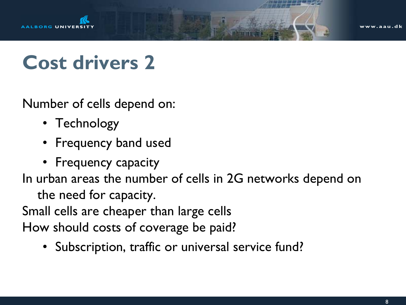

w.aau.dk

## **Cost drivers 2**

Number of cells depend on:

- Technology
- Frequency band used
- Frequency capacity

In urban areas the number of cells in 2G networks depend on

the need for capacity.

Small cells are cheaper than large cells

How should costs of coverage be paid?

• Subscription, traffic or universal service fund?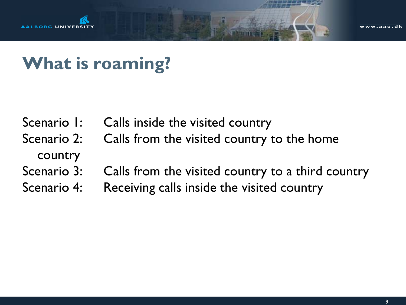

## **What is roaming?**

- Scenario 1: Calls inside the visited country
- Scenario 2: Calls from the visited country to the home

#### country

- Scenario 3: Calls from the visited country to a third country
- Scenario 4: Receiving calls inside the visited country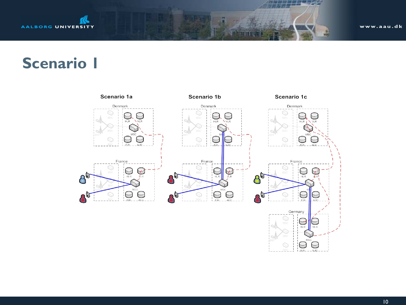

### **Scenario 1**

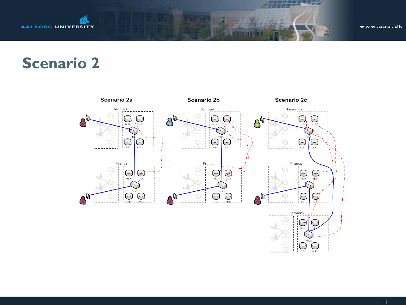

### **Scenario 2**



11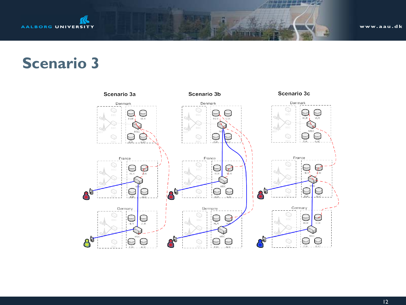

#### **Scenario 3**

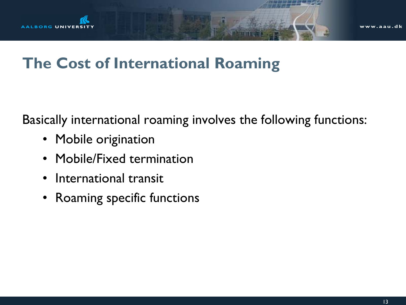

### **The Cost of International Roaming**

Basically international roaming involves the following functions:

- Mobile origination
- Mobile/Fixed termination
- International transit
- Roaming specific functions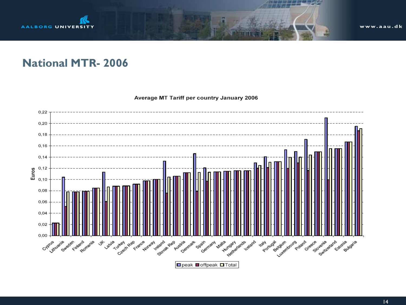

#### **National MTR- 2006**

Average MT Tariff per country January 2006

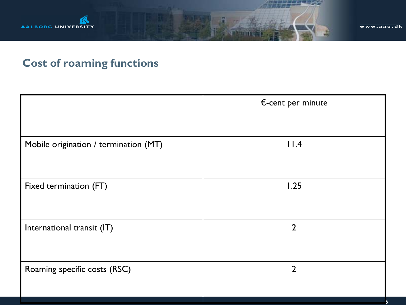

#### **Cost of roaming functions**

|                                       | $\epsilon$ -cent per minute |
|---------------------------------------|-----------------------------|
| Mobile origination / termination (MT) | 11.4                        |
| Fixed termination (FT)                | 1.25                        |
| International transit (IT)            | $\overline{2}$              |
| Roaming specific costs (RSC)          | $\overline{2}$              |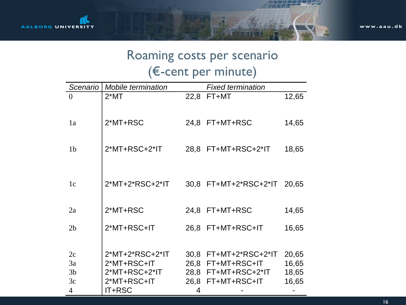#### Roaming costs per scenario (€-cent per minute)

| Scenario       | Mobile termination | <b>Fixed termination</b> |                       |       |  |
|----------------|--------------------|--------------------------|-----------------------|-------|--|
| $\theta$       | $2*MT$             | 22,8                     | FT+MT                 | 12,65 |  |
| 1a             | 2*MT+RSC           |                          | 24,8 FT+MT+RSC        | 14,65 |  |
| 1 <sub>b</sub> | $2*MT+RSC+2*IT$    |                          | 28,8 FT+MT+RSC+2*IT   | 18,65 |  |
| 1c             | 2*MT+2*RSC+2*IT    |                          | 30,8 FT+MT+2*RSC+2*IT | 20,65 |  |
| 2a             | 2*MT+RSC           |                          | 24,8 FT+MT+RSC        | 14,65 |  |
| 2 <sub>b</sub> | 2*MT+RSC+IT        |                          | 26,8 FT+MT+RSC+IT     | 16,65 |  |
| 2c             | 2*MT+2*RSC+2*IT    | 30,8                     | FT+MT+2*RSC+2*IT      | 20,65 |  |
| 3a             | 2*MT+RSC+IT        | 26,8                     | FT+MT+RSC+IT          | 16,65 |  |
| 3 <sub>b</sub> | 2*MT+RSC+2*IT      |                          | 28,8 FT+MT+RSC+2*IT   | 18,65 |  |
| 3c             | 2*MT+RSC+IT        | 26,8                     | FT+MT+RSC+IT          | 16,65 |  |
| 4              | IT+RSC             | 4                        |                       |       |  |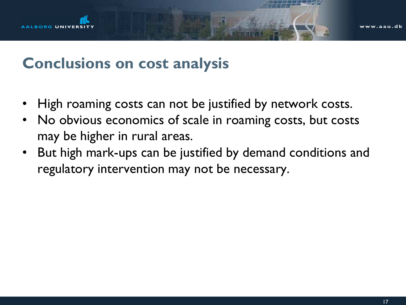

### **Conclusions on cost analysis**

- High roaming costs can not be justified by network costs.
- No obvious economics of scale in roaming costs, but costs may be higher in rural areas.
- But high mark-ups can be justified by demand conditions and regulatory intervention may not be necessary.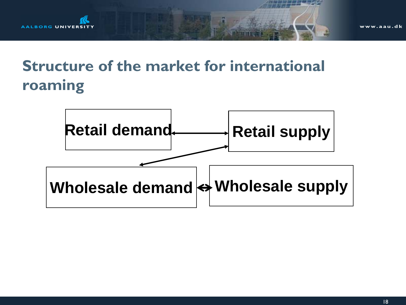

### **Structure of the market for international roaming**

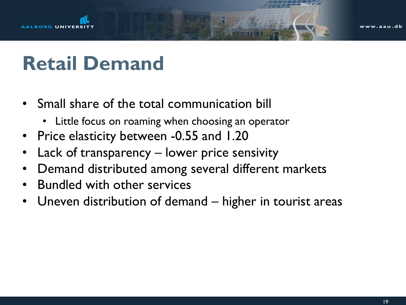

## **Retail Demand**

- Small share of the total communication bill
	- Little focus on roaming when choosing an operator
- Price elasticity between -0.55 and 1.20
- Lack of transparency lower price sensivity
- Demand distributed among several different markets
- Bundled with other services
- Uneven distribution of demand higher in tourist areas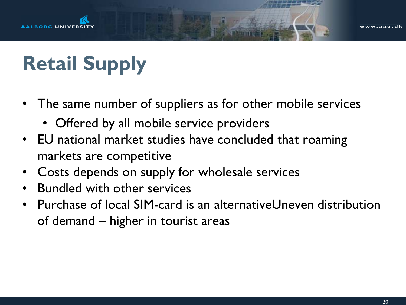

# **Retail Supply**

- The same number of suppliers as for other mobile services
	- Offered by all mobile service providers
- EU national market studies have concluded that roaming markets are competitive
- Costs depends on supply for wholesale services
- Bundled with other services
- Purchase of local SIM-card is an alternativeUneven distribution of demand – higher in tourist areas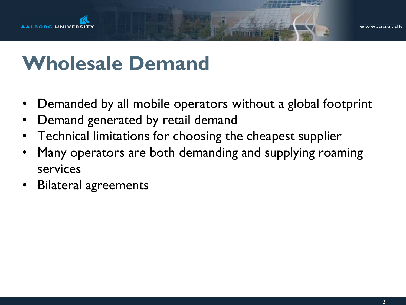

## **Wholesale Demand**

- Demanded by all mobile operators without a global footprint
- Demand generated by retail demand
- Technical limitations for choosing the cheapest supplier
- Many operators are both demanding and supplying roaming services
- Bilateral agreements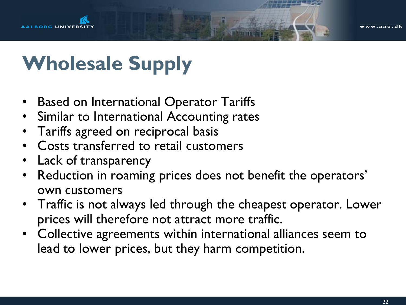# **Wholesale Supply**

- Based on International Operator Tariffs
- Similar to International Accounting rates
- Tariffs agreed on reciprocal basis
- Costs transferred to retail customers
- Lack of transparency
- Reduction in roaming prices does not benefit the operators' own customers
- Traffic is not always led through the cheapest operator. Lower prices will therefore not attract more traffic.
- Collective agreements within international alliances seem to lead to lower prices, but they harm competition.